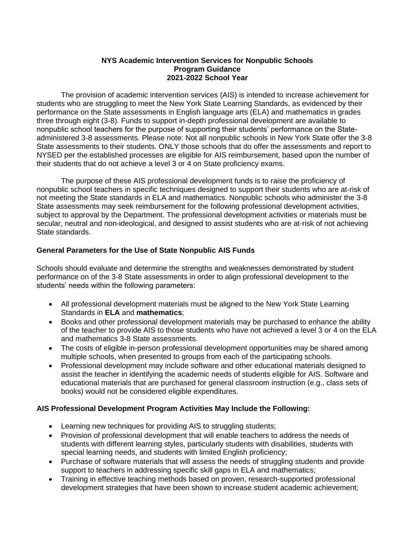## **NYS Academic Intervention Services for Nonpublic Schools Program Guidance 2021-2022 School Year**

The provision of academic intervention services (AIS) is intended to increase achievement for students who are struggling to meet the New York State Learning Standards, as evidenced by their performance on the State assessments in English language arts (ELA) and mathematics in grades three through eight (3-8). Funds to support in-depth professional development are available to nonpublic school teachers for the purpose of supporting their students' performance on the Stateadministered 3-8 assessments. Please note: Not all nonpublic schools in New York State offer the 3-8 State assessments to their students. ONLY those schools that do offer the assessments and report to NYSED per the established processes are eligible for AIS reimbursement, based upon the number of their students that do not achieve a level 3 or 4 on State proficiency exams.

The purpose of these AIS professional development funds is to raise the proficiency of nonpublic school teachers in specific techniques designed to support their students who are at-risk of not meeting the State standards in ELA and mathematics. Nonpublic schools who administer the 3-8 State assessments may seek reimbursement for the following professional development activities, subject to approval by the Department. The professional development activities or materials must be secular, neutral and non-ideological, and designed to assist students who are at-risk of not achieving State standards.

## **General Parameters for the Use of State Nonpublic AIS Funds**

Schools should evaluate and determine the strengths and weaknesses demonstrated by student performance on of the 3-8 State assessments in order to align professional development to the students' needs within the following parameters:

- All professional development materials must be aligned to the New York State Learning Standards in **ELA** and **mathematics**;
- Books and other professional development materials may be purchased to enhance the ability of the teacher to provide AIS to those students who have not achieved a level 3 or 4 on the ELA and mathematics 3-8 State assessments.
- The costs of eligible in-person professional development opportunities may be shared among multiple schools, when presented to groups from each of the participating schools.
- Professional development may include software and other educational materials designed to assist the teacher in identifying the academic needs of students eligible for AIS. Software and educational materials that are purchased for general classroom instruction (e.g., class sets of books) would not be considered eligible expenditures.

## **AIS Professional Development Program Activities May Include the Following:**

- Learning new techniques for providing AIS to struggling students;
- Provision of professional development that will enable teachers to address the needs of students with different learning styles, particularly students with disabilities, students with special learning needs, and students with limited English proficiency;
- Purchase of software materials that will assess the needs of struggling students and provide support to teachers in addressing specific skill gaps in ELA and mathematics;
- Training in effective teaching methods based on proven, research-supported professional development strategies that have been shown to increase student academic achievement;